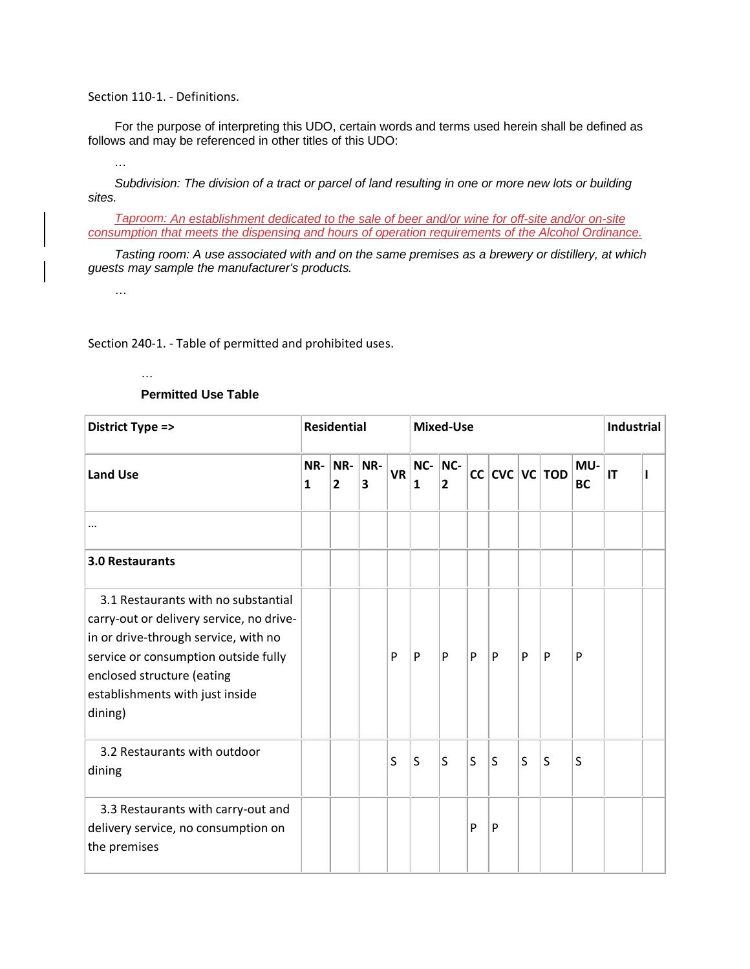Section 110-1. - Definitions.

For the purpose of interpreting this UDO, certain words and terms used herein shall be defined as follows and may be referenced in other titles of this UDO:

*…*

*Subdivision: The division of a tract or parcel of land resulting in one or more new lots or building sites.*

*Taproom: An establishment dedicated to the sale of beer and/or wine for off-site and/or on-site consumption that meets the dispensing and hours of operation requirements of the Alcohol Ordinance.*

*Tasting room: A use associated with and on the same premises as a brewery or distillery, at which guests may sample the manufacturer's products.*

…

Section 240-1. - Table of permitted and prohibited uses.

## …

## **Permitted Use Table**

| District Type =>                                                                                                                                                                                                                            | <b>Residential</b>  |                                              |          |           | <b>Mixed-Use</b> | <b>Industrial</b>     |    |   |   |                  |                  |    |  |
|---------------------------------------------------------------------------------------------------------------------------------------------------------------------------------------------------------------------------------------------|---------------------|----------------------------------------------|----------|-----------|------------------|-----------------------|----|---|---|------------------|------------------|----|--|
| <b>Land Use</b>                                                                                                                                                                                                                             | NR-<br>$\mathbf{1}$ | $\overline{\mathsf{NR}}$ -<br>$\overline{2}$ | NR-<br>3 | <b>VR</b> | NC-<br>1         | NC-<br>$\overline{2}$ | cc |   |   | $CVC$ $VC$ $TOD$ | MU-<br><b>BC</b> | IT |  |
|                                                                                                                                                                                                                                             |                     |                                              |          |           |                  |                       |    |   |   |                  |                  |    |  |
| <b>3.0 Restaurants</b>                                                                                                                                                                                                                      |                     |                                              |          |           |                  |                       |    |   |   |                  |                  |    |  |
| 3.1 Restaurants with no substantial<br>carry-out or delivery service, no drive-<br>in or drive-through service, with no<br>service or consumption outside fully<br>enclosed structure (eating<br>establishments with just inside<br>dining) |                     |                                              |          | P         | P                | P                     | P  | P | P | P                | P                |    |  |
| 3.2 Restaurants with outdoor<br>dining                                                                                                                                                                                                      |                     |                                              |          | S         | S                | S                     | S  | S | S | S                | S                |    |  |
| 3.3 Restaurants with carry-out and<br>delivery service, no consumption on<br>the premises                                                                                                                                                   |                     |                                              |          |           |                  |                       | P  | P |   |                  |                  |    |  |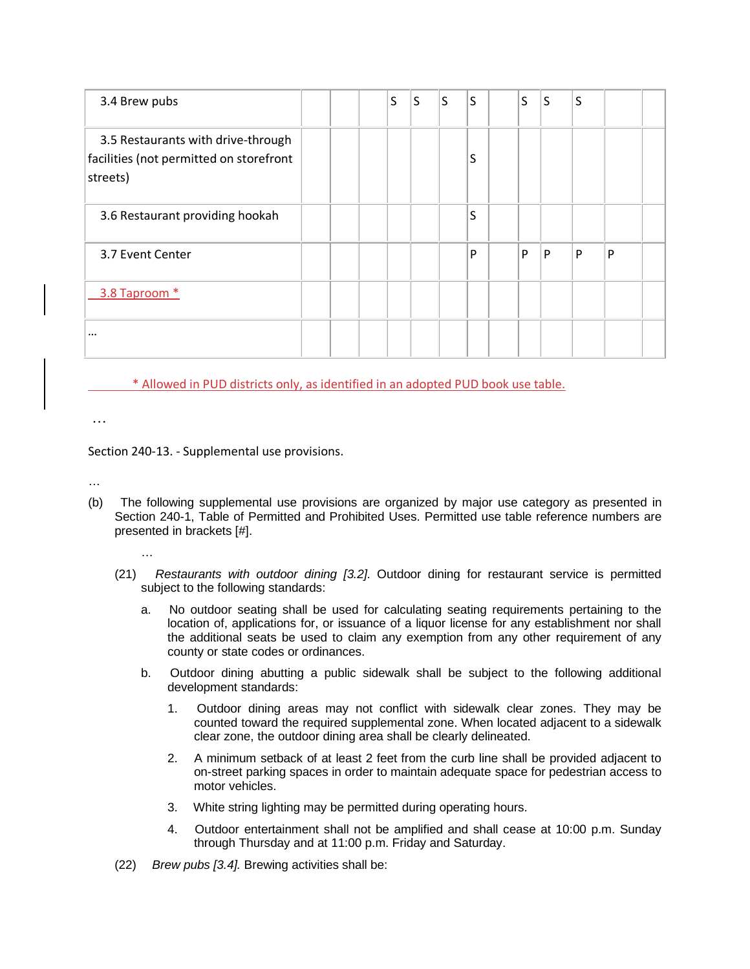| 3.4 Brew pubs                                                                             |  | S | S | S | S | S | S | S |   |  |
|-------------------------------------------------------------------------------------------|--|---|---|---|---|---|---|---|---|--|
| 3.5 Restaurants with drive-through<br>facilities (not permitted on storefront<br>streets) |  |   |   |   | S |   |   |   |   |  |
| 3.6 Restaurant providing hookah                                                           |  |   |   |   | S |   |   |   |   |  |
| 3.7 Event Center                                                                          |  |   |   |   | P | P | P | P | P |  |
| 3.8 Taproom *                                                                             |  |   |   |   |   |   |   |   |   |  |
| $\cdots$                                                                                  |  |   |   |   |   |   |   |   |   |  |

\* Allowed in PUD districts only, as identified in an adopted PUD book use table.

…

Section 240-13. - Supplemental use provisions.

…

- (b) The following supplemental use provisions are organized by major use category as presented in Section 240-1, Table of Permitted and Prohibited Uses. Permitted use table reference numbers are presented in brackets [#].
	-

…

- (21) *Restaurants with outdoor dining [3.2].* Outdoor dining for restaurant service is permitted subject to the following standards:
	- a. No outdoor seating shall be used for calculating seating requirements pertaining to the location of, applications for, or issuance of a liquor license for any establishment nor shall the additional seats be used to claim any exemption from any other requirement of any county or state codes or ordinances.
	- b. Outdoor dining abutting a public sidewalk shall be subject to the following additional development standards:
		- 1. Outdoor dining areas may not conflict with sidewalk clear zones. They may be counted toward the required supplemental zone. When located adjacent to a sidewalk clear zone, the outdoor dining area shall be clearly delineated.
		- 2. A minimum setback of at least 2 feet from the curb line shall be provided adjacent to on-street parking spaces in order to maintain adequate space for pedestrian access to motor vehicles.
		- 3. White string lighting may be permitted during operating hours.
		- 4. Outdoor entertainment shall not be amplified and shall cease at 10:00 p.m. Sunday through Thursday and at 11:00 p.m. Friday and Saturday.
- (22) *Brew pubs [3.4].* Brewing activities shall be: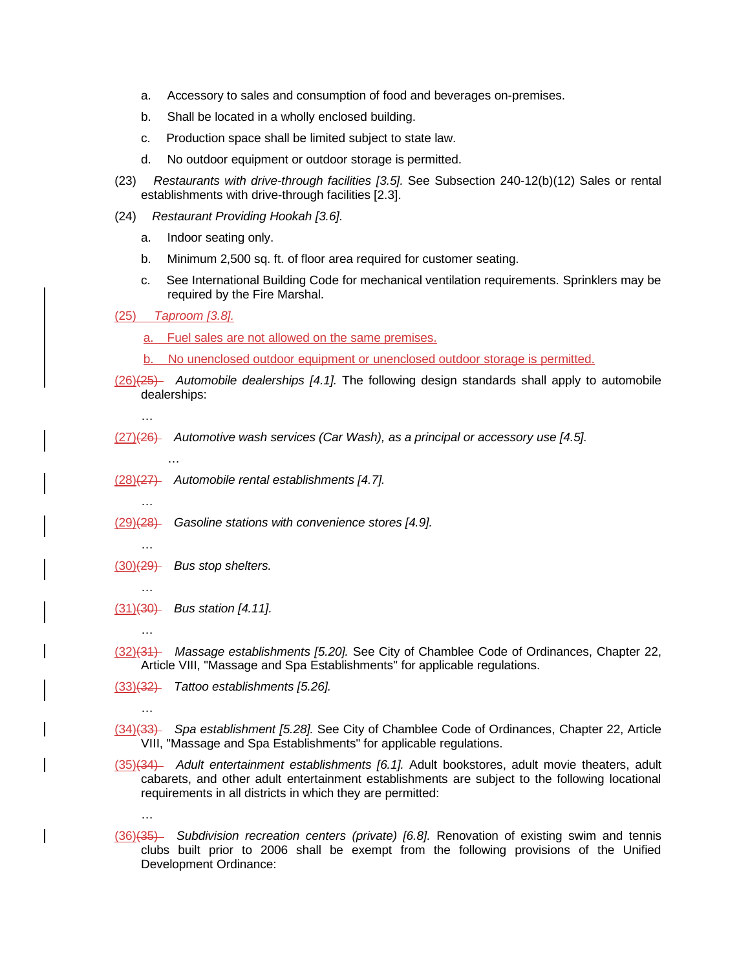- a. Accessory to sales and consumption of food and beverages on-premises.
- b. Shall be located in a wholly enclosed building.
- c. Production space shall be limited subject to state law.
- d. No outdoor equipment or outdoor storage is permitted.
- (23) *Restaurants with drive-through facilities [3.5].* See Subsection 240-12(b)(12) Sales or rental establishments with drive-through facilities [2.3].
- (24) *Restaurant Providing Hookah [3.6].*
	- a. Indoor seating only.
	- b. Minimum 2,500 sq. ft. of floor area required for customer seating.
	- c. See International Building Code for mechanical ventilation requirements. Sprinklers may be required by the Fire Marshal.

(25) *Taproom [3.8].* 

- a. Fuel sales are not allowed on the same premises.
- b. No unenclosed outdoor equipment or unenclosed outdoor storage is permitted.
- (26)(25) *Automobile dealerships [4.1].* The following design standards shall apply to automobile dealerships:

…

…

- (27)(26) *Automotive wash services (Car Wash), as a principal or accessory use [4.5].*
	- …
- (28)(27) *Automobile rental establishments [4.7].*
- (29)(28) *Gasoline stations with convenience stores [4.9].*
- …
- (30)(29) *Bus stop shelters.*
- … (31)(30) *Bus station [4.11].*
	- …

…

…

- (32)(31) *Massage establishments [5.20].* See City of Chamblee Code of Ordinances, Chapter 22, Article VIII, "Massage and Spa Establishments" for applicable regulations.
- (33)(32) *Tattoo establishments [5.26].*
- (34)(33) *Spa establishment [5.28].* See City of Chamblee Code of Ordinances, Chapter 22, Article VIII, "Massage and Spa Establishments" for applicable regulations.
- (35)(34) *Adult entertainment establishments [6.1].* Adult bookstores, adult movie theaters, adult cabarets, and other adult entertainment establishments are subject to the following locational requirements in all districts in which they are permitted:
- (36)(35) *Subdivision recreation centers (private) [6.8].* Renovation of existing swim and tennis clubs built prior to 2006 shall be exempt from the following provisions of the Unified Development Ordinance: